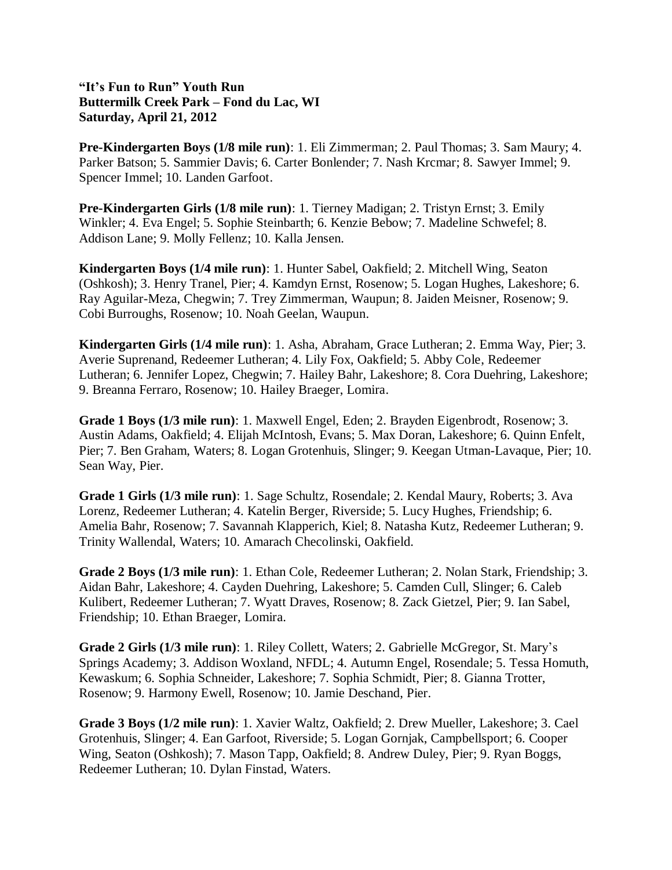## **"It's Fun to Run" Youth Run Buttermilk Creek Park – Fond du Lac, WI Saturday, April 21, 2012**

**Pre-Kindergarten Boys (1/8 mile run)**: 1. Eli Zimmerman; 2. Paul Thomas; 3. Sam Maury; 4. Parker Batson; 5. Sammier Davis; 6. Carter Bonlender; 7. Nash Krcmar; 8. Sawyer Immel; 9. Spencer Immel; 10. Landen Garfoot.

**Pre-Kindergarten Girls (1/8 mile run)**: 1. Tierney Madigan; 2. Tristyn Ernst; 3. Emily Winkler; 4. Eva Engel; 5. Sophie Steinbarth; 6. Kenzie Bebow; 7. Madeline Schwefel; 8. Addison Lane; 9. Molly Fellenz; 10. Kalla Jensen.

**Kindergarten Boys (1/4 mile run)**: 1. Hunter Sabel, Oakfield; 2. Mitchell Wing, Seaton (Oshkosh); 3. Henry Tranel, Pier; 4. Kamdyn Ernst, Rosenow; 5. Logan Hughes, Lakeshore; 6. Ray Aguilar-Meza, Chegwin; 7. Trey Zimmerman, Waupun; 8. Jaiden Meisner, Rosenow; 9. Cobi Burroughs, Rosenow; 10. Noah Geelan, Waupun.

**Kindergarten Girls (1/4 mile run)**: 1. Asha, Abraham, Grace Lutheran; 2. Emma Way, Pier; 3. Averie Suprenand, Redeemer Lutheran; 4. Lily Fox, Oakfield; 5. Abby Cole, Redeemer Lutheran; 6. Jennifer Lopez, Chegwin; 7. Hailey Bahr, Lakeshore; 8. Cora Duehring, Lakeshore; 9. Breanna Ferraro, Rosenow; 10. Hailey Braeger, Lomira.

**Grade 1 Boys (1/3 mile run)**: 1. Maxwell Engel, Eden; 2. Brayden Eigenbrodt, Rosenow; 3. Austin Adams, Oakfield; 4. Elijah McIntosh, Evans; 5. Max Doran, Lakeshore; 6. Quinn Enfelt, Pier; 7. Ben Graham, Waters; 8. Logan Grotenhuis, Slinger; 9. Keegan Utman-Lavaque, Pier; 10. Sean Way, Pier.

**Grade 1 Girls (1/3 mile run)**: 1. Sage Schultz, Rosendale; 2. Kendal Maury, Roberts; 3. Ava Lorenz, Redeemer Lutheran; 4. Katelin Berger, Riverside; 5. Lucy Hughes, Friendship; 6. Amelia Bahr, Rosenow; 7. Savannah Klapperich, Kiel; 8. Natasha Kutz, Redeemer Lutheran; 9. Trinity Wallendal, Waters; 10. Amarach Checolinski, Oakfield.

**Grade 2 Boys (1/3 mile run)**: 1. Ethan Cole, Redeemer Lutheran; 2. Nolan Stark, Friendship; 3. Aidan Bahr, Lakeshore; 4. Cayden Duehring, Lakeshore; 5. Camden Cull, Slinger; 6. Caleb Kulibert, Redeemer Lutheran; 7. Wyatt Draves, Rosenow; 8. Zack Gietzel, Pier; 9. Ian Sabel, Friendship; 10. Ethan Braeger, Lomira.

**Grade 2 Girls (1/3 mile run)**: 1. Riley Collett, Waters; 2. Gabrielle McGregor, St. Mary's Springs Academy; 3. Addison Woxland, NFDL; 4. Autumn Engel, Rosendale; 5. Tessa Homuth, Kewaskum; 6. Sophia Schneider, Lakeshore; 7. Sophia Schmidt, Pier; 8. Gianna Trotter, Rosenow; 9. Harmony Ewell, Rosenow; 10. Jamie Deschand, Pier.

**Grade 3 Boys (1/2 mile run)**: 1. Xavier Waltz, Oakfield; 2. Drew Mueller, Lakeshore; 3. Cael Grotenhuis, Slinger; 4. Ean Garfoot, Riverside; 5. Logan Gornjak, Campbellsport; 6. Cooper Wing, Seaton (Oshkosh); 7. Mason Tapp, Oakfield; 8. Andrew Duley, Pier; 9. Ryan Boggs, Redeemer Lutheran; 10. Dylan Finstad, Waters.